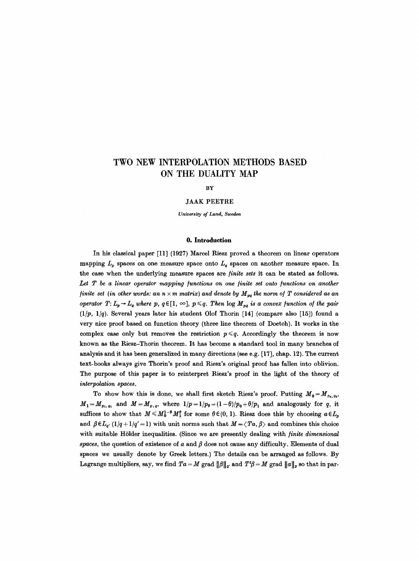# **TWO NEW INTERPOLATION METHODS BASED ON THE DUALITY MAP**

**BY** 

JAAK PEETRE

*University of Land, Sweden* 

### 0. **Introduction**

In his classical paper [11] (1927) Marcel Riesz proved a theorem on linear operators mapping  $L_p$  spaces on one measure space onto  $L_q$  spaces on another measure space. In the case when the underlying measure spaces are *finite sets* it can be stated as follows. Let T be a linear operator mapping functions on one finite set onto functions on another *finite set (in other words: an n*  $\times$  *m matrix) and denote by*  $M_{po}$  *the norm of T considered as an operator T:*  $L_p \rightarrow L_q$  *where p, q*  $\in$  [1,  $\infty$ ],  $p \leqslant q$ . Then  $\log M_{pq}$  is a convex function of the pair *(l/p, l/q).* Several years later his student Olof Thorin [14] (compare also [15]) found a very nice proof based on function theory (three line theorem of I)oetch). It works in the complex case only but removes the restriction  $p \leq q$ . Accordingly the theorem is now known as the Riesz-Thorin theorem. It has become a standard tool in many branches of analysis and it has been generalized in many directions (see e.g. [17], chap. 12). The current text-books always give Thorin's proof and Riesz's original proof has fallen into oblivion. The purpose of this paper is to reinterpret Riesz's proof in the light of the theory of *interpolation spaces.* 

To show how this is done, we shall first sketch Riesz's proof. Putting  $M_0=M_{p_0,q_0}$ ,  $M_1=M_{p_1,q_1}$  and  $M=M_{p,q}$ , where  $1/p=1/p_\theta=(1-\theta)/p_0+\theta/p_1$  and analogously for q, it suffices to show that  $M \leq M_0^{1-\theta} M_1^{\theta}$  for some  $\theta \in (0, 1)$ . Riesz does this by choosing  $a \in L_p$ and  $\beta \in L_{q'}(1/q + 1/q' = 1)$  with unit norms such that  $M = \langle Ta, \beta \rangle$  and combines this choice with suitable Hölder inequalities. (Since we are presently dealing with *finite dimensional*  $spaces,$  the question of existence of  $a$  and  $\beta$  does not cause any difficulty. Elements of dual spaces we usually denote by Greek letters.) The details can be arranged as follows. By Lagrange multipliers, say, we find  $Ta = M$  grad  $\|\beta\|_{q'}$  and  $T^t\beta = M$  grad  $\|a\|_p$  so that in par-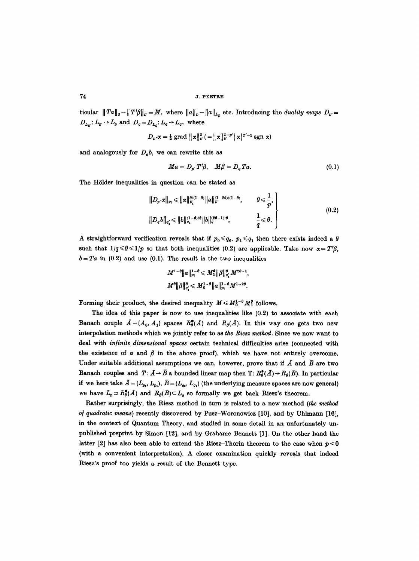$\text{ticular } \| Ta \|_q = \| T^t \beta \|_{p'} = M$ , where  $\| a \|_p = \| a \|_{L_p}$  etc. Introducing the *duality maps*  $D_{p'} =$  $D_{L_p}$ :  $L_p \rightarrow L_p$  and  $D_q = D_{L_q}: L_q \rightarrow L_{q'}$ , where

$$
D_{p'}\alpha = \frac{1}{2}\operatorname{grad} \|\alpha\|_{p'}^2 = \|\alpha\|_{p'}^{2-p'}\|\alpha\|^{p'-1}\operatorname{sgn} \alpha
$$

and analogously for  $D_a b$ , we can rewrite this as

$$
Ma = D_{p'}T^t\beta, \quad M\beta = D_qTa. \tag{0.1}
$$

The Hölder inequalities in question can be stated as

$$
||D_{p'}\alpha||_{p_0} \leq ||\alpha||_{p'_1}^{(\theta/(1-\theta))} ||\alpha||_{p'}^{(1-2\theta)/(1-\theta)}, \qquad \theta \leq \frac{1}{p},
$$
  

$$
||D_q b||_{q'_1} \leq ||b||_{q_1}^{(1-\theta)/\theta} ||b||_{q}^{(2\theta-1)/\theta}, \qquad \frac{1}{q} \leq \theta.
$$
 (0.2)

A straightforward verification reveals that if  $p_0 \leq q_0$ ,  $p_1 \leq q_1$  then there exists indeed a  $\theta$ such that  $1/q \le \theta \le 1/p$  so that both inequalities (0.2) are applicable. Take now  $\alpha = T^t\beta$ ,  $b=Ta$  in (0.2) and use (0.1). The result is the two inequalities

$$
M^{1-\theta}||a||_{p_{0}}^{1-\theta} \leqslant M_{1}^{\theta}||\beta||_{q_{1}}^{\theta}M^{2\theta-1},
$$
  

$$
M^{\theta}||\beta||_{q_{1}}^{\theta} \leqslant M_{0}^{1-\theta}||a||_{p_{0}}^{1-\theta}M^{1-2\theta}.
$$

Forming their product, the desired inequality  $M \leq M_0^{1-\theta} M_1^{\theta}$  follows.

The idea of this paper is now to use inequalities like  $(0.2)$  to associate with each Banach couple  $\bar{A}=(A_0, A_1)$  spaces  $R^{\bullet}_{\theta}(\bar{A})$  and  $R_{\theta}(\bar{A})$ . In this way one gets two new interpolation methods which we jointly refer to as the Riesz method. Since we now want to deal with infinite dimensional spaces certain technical difficulties arise (connected with the existence of  $\alpha$  and  $\beta$  in the above proof), which we have not entirely overcome. Under suitable additional assumptions we can, however, prove that if  $\overline{A}$  and  $\overline{B}$  are two Banach couples and  $T: A \rightarrow \overline{B}$  a bounded linear map then T:  $R^*_{\theta}(A) \rightarrow R_{\theta}(\overline{B})$ . In particular if we here take  $\bar{A} = (L_{p_0}, L_{p_1}), \bar{B} = (L_{q_0}, L_{q_1})$  (the underlying measure spaces are now general) we have  $L_p \supset R^{\bullet}_{\theta}(\bar{A})$  and  $R_{\theta}(\bar{B}) \subset L_q$  so formally we get back Riesz's theorem.

Rather surprisingly, the Riesz method in turn is related to a new method (the method of quadratic means) recently discovered by Pusz-Woronowicz [10], and by Uhlmann [16], in the context of Quantum Theory, and studied in some detail in an unfortunately unpublished preprint by Simon [12], and by Grahame Bennett [1]. On the other hand the latter [2] has also been able to extend the Riesz-Thorin theorem to the case when  $p < 0$ (with a convenient interpretation). A closer examination quickly reveals that indeed Riesz's proof too yields a result of the Bennett type.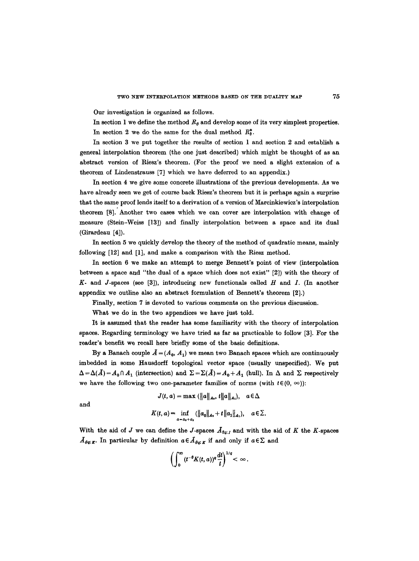Our investigation is organized as follows.

In section 1 we define the method  $R_{\theta}$  and develop some of its very simplest properties. In section 2 we do the same for the dual method  $R_b^*$ .

In section 3 we put together the results of section 1 and section 2 and establish a general interpolation theorem (the one just described) which might be thought of as an abstract version of Riesz's theorem. (For the proof we need a slight extension of a theorem of Lindenstrauss [7] which we have deferred to an appendix.)

In section 4 we give some concrete illustrations of the previous developments. As we have already seen we get of course back Riesz's theorem but it is perhaps again a surprise that the same proof lends itself to a derivation of a version of Marcinkiewicz's interpolation theorem [8]. Another two cases which we can cover are interpolation with change of measure (Stein-Weiss [13]) and finally interpolation between a space and its dual (Girardeau [4]).

In section 5 we quickly develop the theory of the method of quadratic means, mainly following [12] and [1], and make a comparison with the Riesz method.

In section 6 we make an attempt to merge Bennett's point of view (interpolation between a space and "the dual of a space which does not exist" [2]) with the theory of **K-** and J-spaces (see [3]), introducing new functionals called H and I. (In another appendix we outline also an abstract formulation of Bennett's theorem [2].)

Finally, section 7 is devoted to various comments on the previous discussion.

What we do in the two appendices we have just told.

It is assumed that the reader has some familiarity with the theory of interpolation spaces. Regarding terminology we have tried as far as practicable to follow [3]. For the reader's benefit we recall here briefly some of the basic definitions.

By a Banach couple  $\bar{A} = (A_0, A_1)$  we mean two Banach spaces which are continuously imbedded in some Hausdorff topological vector space (usually unspecified). We put  $\Delta = \Delta(\bar{A}) = A_0 \cap A_1$  (intersection) and  $\Sigma = \Sigma(\bar{A}) = A_0 + A_1$  (hull). In  $\Delta$  and  $\Sigma$  respectively we have the following two one-parameter families of norms (with  $t \in (0, \infty)$ ):

$$
J(t, a) = \max (\|a\|_{A_0}, t\|a\|_{A_1}), \quad a \in \Delta
$$
  
and  

$$
K(t, a) = \inf_{a = a_0 + a_1} (\|a_0\|_{A_0} + t\|a_1\|_{A_1}), \quad a \in \Sigma.
$$

and

With the aid of J we can define the J-spaces  $\bar{A}_{\theta q;J}$  and with the aid of K the K-spaces  $A_{\theta q: K}$ . In particular by definition  $a \in A_{\theta q: K}$  if and only if  $a \in \Sigma$  and

$$
\left(\int_0^\infty (t^{-\theta}K(t,a))^q\frac{dt}{t}\right)^{1/q}<\infty.
$$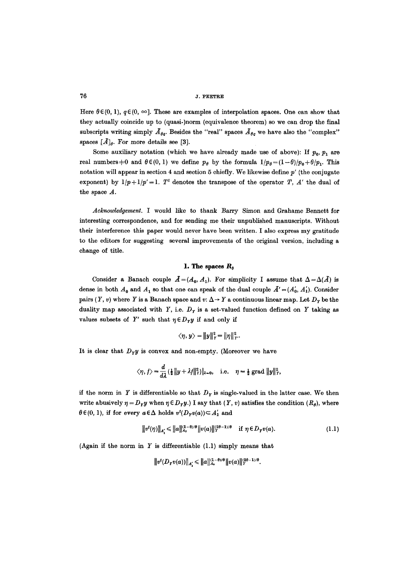Here  $\theta \in (0, 1)$ ,  $q \in (0, \infty)$ . These are examples of interpolation spaces. One can show that they actually coincide up to (quasi-)norm (equivalence theorem) so we can drop the final subscripts writing simply  $\bar{A}_{\theta q}$ . Besides the "real" spaces  $\bar{A}_{\theta q}$  we have also the "complex" spaces  $[\bar{A}]_{\theta}$ . For more details see [3].

Some auxiliary notation (which we have already made use of above): If  $p_0$ ,  $p_1$  are real numbers  $\neq 0$  and  $\theta \in (0, 1)$  we define  $p_{\theta}$  by the formula  $I/p_{\theta} = (1-\theta)/p_{\theta} + \theta/p_{\theta}$ . This notation will appear in section 4 and section 5 chiefly. We likewise define  $p'$  (the conjugate exponent) by  $1/p+1/p'=1$ .  $T<sup>t</sup>$  denotes the transpose of the operator T, A' the dual of the space  $A$ .

*Acknowledgement.* I would like to thank Barry Simon and Grahame Bennett for interesting correspondence, and for sending me their unpublished manuscripts. Without their interference this paper would never have been written. I also express my gratitude to the editors for suggesting several improvements of the original version, including a change of title.

### **1. The spaces** *Ro*

Consider a Banach couple  $\bar{A}=(A_0, A_1)$ . For simplicity I assume that  $\Delta=\Delta(\bar{A})$  is dense in both  $A_0$  and  $A_1$  so that one can speak of the dual couple  $\tilde{A}' = (A'_0, A'_1)$ . Consider pairs (Y, v) where Y is a Banach space and  $v: \Delta \rightarrow Y$  a continuous linear map. Let  $D<sub>y</sub>$  be the duality map associated with Y, i.e.  $D<sub>Y</sub>$  is a set-valued function defined on Y taking as values subsets of Y' such that  $\eta \in D_Y y$  if and only if

$$
\langle \eta, y \rangle = ||y||_Y^2 = ||\eta||_{Y'}^2.
$$

It is clear that  $D_Y y$  is convex and non-empty. (Moreover we have

$$
\langle \eta, f \rangle = \frac{d}{d\lambda} \left( \frac{1}{2} \|y + \lambda f\|_{Y}^{2} \right) |_{\lambda = 0}, \quad \text{i.e.} \quad \eta = \frac{1}{2} \text{ grad } \|y\|_{Y}^{2},
$$

if the norm in Y is differentiable so that  $D<sub>y</sub>$  is single-valued in the latter case. We then write abusively  $\eta = D_Y y$  when  $\eta \in D_Y y$ .) I say that  $(Y, v)$  satisfies the condition  $(R_\theta)$ , where  $\theta \in (0, 1)$ , if for every  $a \in \Delta$  holds  $v^t(D_Tv(a)) \subset A'_1$  and

$$
||v^{t}(\eta)||_{A'_{1}} \leq ||a||_{A_{0}}^{(1-\theta)/\theta} ||v(a)||_{Y}^{(2\theta-1)/\theta} \quad \text{if } \eta \in D_{Y}v(a). \tag{1.1}
$$

(Again if the norm in Y is differentiable (1.1) simply means that

$$
||v^t(D_Yv(a))||_{A'_1} \leq ||a||_{A_0}^{(1-\theta)/\theta} ||v(a)||_Y^{2\theta-1)/\theta}.
$$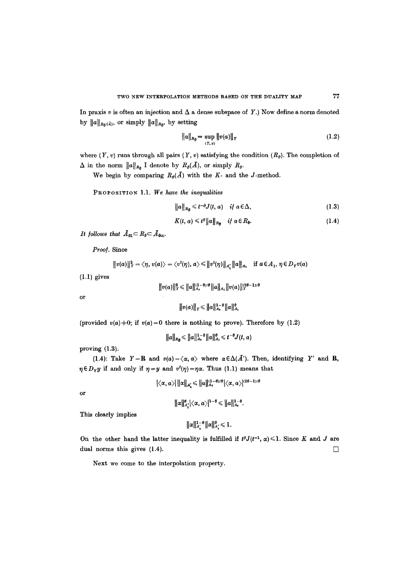In praxis  $v$  is often an injection and  $\Delta$  a dense subspace of Y.) Now define a norm denoted by  $||a||_{R_{\theta}(\bar{A})}$ , or simply  $||a||_{R_{\theta}}$ , by setting

$$
||a||_{R_{\theta}} = \sup_{(Y,v)} ||v(a)||_{Y}
$$
 (1.2)

where  $(Y, v)$  runs through all pairs  $(Y, v)$  satisfying the condition  $(R_{\theta})$ . The completion of  $\Delta$  in the norm  $||a||_{R_{\theta}}$  I denote by  $R_{\theta}(A)$ , or simply  $R_{\theta}$ .

We begin by comparing  $R_{\theta}(\overline{A})$  with the K- and the J-method.

PROPOSITION 1.1. We have the inequalities

$$
||a||_{R_{\theta}} \leq t^{-\theta} J(t, a) \quad \text{if } a \in \Delta,
$$
\n(1.3)

$$
K(t, a) \leq t^{\theta} ||a||_{R_{\theta}} \quad \text{if } a \in R_{\theta}.
$$
 (1.4)

*It follows that*  $A_{01} \subset R_0 \subset A_{0\infty}$ .

Proof. Since

$$
||v(a)||_Y^2 = \langle \eta, v(a) \rangle = \langle v^t(\eta), a \rangle \leq ||v^t(\eta)||_{A_1'} ||a||_{A_1} \text{ if } a \in A_1, \eta \in D_Y v(a)
$$

(1.1) gives

$$
||v(a)||_Y^2 \le ||a||_{A_0}^{(1-\theta)/\theta} ||a||_{A_1} ||v(a)||_Y^{(2\theta-1)/\theta}
$$

**or** 

$$
||v(a)||_Y \leq ||a||_{A_0}^{1-\theta} ||a||_{A_1}^{\theta}
$$

(provided  $v(a) \neq 0$ ; if  $v(a) = 0$  there is nothing to prove). Therefore by (1.2)

$$
||a||_{R_{\theta}} \leq ||a||_{A_{0}}^{1-\theta} ||a||_{A_{1}}^{\theta} \leq t^{-\theta} J(t, a)
$$

proving (1.3).

(1.4): Take  $Y = \mathbb{R}$  and  $v(a) = \langle \alpha, a \rangle$  where  $\alpha \in \Delta(\overline{A}').$  Then, identifying Y' and  $\mathbb{R}$ ,  $\eta \in D_Y y$  if and only if  $\eta = y$  and  $v^t(\eta) = \eta \alpha$ . Thus (1.1) means that

$$
|\langle \alpha, a \rangle| \| \alpha \|_{A_1'} \leq \| a \|_{A_0}^{(1-\theta)/\theta} |\langle \alpha, a \rangle|^{(2\theta-1)/\theta}
$$

**or** 

$$
\|\alpha\|_{A'}^{\theta}|\langle\alpha,a\rangle|^{1-\theta}\leq \|a\|_{A_0}^{1-\theta}.
$$

This clearly implies

$$
\|\alpha\|_{A'_0}^{1-\theta} \|\alpha\|_{A'_1}^{\theta} \leq 1.
$$

On the other hand the latter inequality is fulfilled if  $t^g J(t^{-1}, \alpha) \leq 1$ . Since K and J are dual norms this gives  $(1.4)$ .

Next we come to the interpolation property.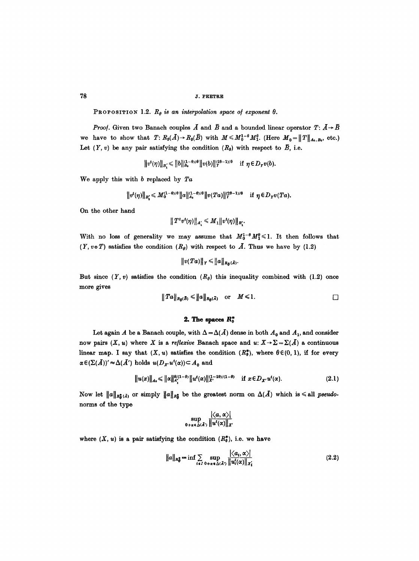PROPOSITION 1.2.  $R_{\theta}$  is an interpolation space of exponent  $\theta$ .

*Proof.* Given two Banach couples  $\vec{A}$  and  $\vec{B}$  and a bounded linear operator  $T: \vec{A} \rightarrow \vec{B}$ we have to show that  $T: R_{\theta}(\overline{A}) \to R_{\theta}(\overline{B})$  with  $M \leq M_0^{1-\theta} M_1^{\theta}$ . (Here  $M_0 = ||T||_{A_0,B_0}$ , etc.) Let  $(Y, v)$  be any pair satisfying the condition  $(R_{\theta})$  with respect to  $\overline{B}$ , i.e.

$$
||v^t(\eta)||_{B'_1} \leq ||b||_{B_0}^{(1-\theta)/\theta} ||v(b)||_{Y}^{(2\theta-1)/\theta} \quad \text{if } \eta \in D_Yv(b).
$$

We apply this with b replaced by *Ta* 

$$
||v^t(\eta)||_{B'_1}\leqslant M_0^{(1-\theta)/\theta}||a||_{A_0}^{(1-\theta)/\theta}||v(Ta)||_Y^{(2\theta-1)/\theta}\quad \text{if } \eta\in D_Yv(Ta).
$$

On the other hand

$$
|| T^t v^t(\eta)||_{A'_1} \leqslant M_1 || v^t(\eta)||_{B'_1}.
$$

With no loss of generality we may assume that  $M_0^{1-\theta}M_1^{\theta} \leq 1$ . It then follows that  $(Y, v \circ T)$  satisfies the condition  $(R_{\theta})$  with respect to  $\overline{A}$ . Thus we have by (1.2)

$$
||v(Ta)||_Y\leq ||a||_{R_{\theta}(\bar{A})}.
$$

But since  $(Y, v)$  satisfies the condition  $(R<sub>\theta</sub>)$  this inequality combined with (1.2) once more gives

$$
||Ta||_{R_{\theta}(B)} \leq ||a||_{R_{\theta}(\bar{A})} \quad \text{or} \quad M \leq 1.
$$

# 2. The spaces  $R^*_{\theta}$

Let again A be a Banach couple, with  $\Delta = \Delta(\bar{A})$  dense in both  $A_0$  and  $A_1$ , and consider now pairs  $(X, u)$  where X is a *reflexive* Banach space and  $u: X \to \Sigma = \Sigma(\bar{A})$  a continuous linear map. I say that  $(X, u)$  satisfies the condition  $(R_0^*)$ , where  $\theta \in (0, 1)$ , if for every  $\alpha \in (\Sigma(\bar{A}))' \approx \Delta(\bar{A}')$  holds  $u(D_{X'}u^{t}(\alpha)) \subset A_0$  and

$$
||u(x)||_{A_{0}} \leq ||\alpha||_{A'_{1}}^{\theta/(1-\theta)} ||u^{t}(\alpha)||_{X'}^{(1-2\theta)/(1-\theta)} \quad \text{if } x \in D_{X'} u^{t}(\alpha). \tag{2.1}
$$

Now let  $||a||_{R^*_0(A)}$  or simply  $||a||_{R^*_0}$  be the greatest norm on  $\Delta(A)$  which is  $\leq$  all *pseudo*norms of the type

$$
\sup_{0+\alpha\in\Delta(\tilde{A}')} \frac{|\langle a, \alpha\rangle|}{\|u^t(\alpha)\|_{X'}}
$$

where  $(X, u)$  is a pair satisfying the condition  $(R_6^*)$ , i.e. we have

$$
\|a\|_{R^*_\theta} = \inf \sum_{i \in I} \sup_{0 + \alpha \in \Delta(\bar{A}')} \frac{|\langle a_i, \alpha \rangle|}{\|u_i^i(\alpha)\|_{X_i^i}}
$$
(2.2)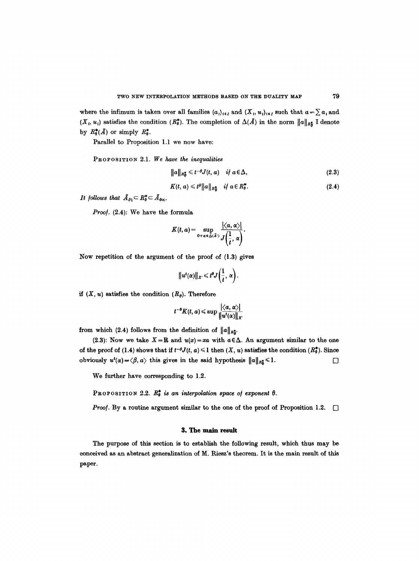where the infimum is taken over all families  $(a_i)_{i\in I}$  and  $(X_i, u_i)_{i\in I}$  such that  $a=\sum a_i$  and  $(X_t, u_t)$  satisfies the condition  $(R_0^*$ . The completion of  $\Delta(\bar{A})$  in the norm  $\|a\|_{R^*_B}$  I denote by  $R^*_0(A)$  or simply  $R^*_0$ .

Parallel to Proposition 1.1 we now have:

PROPOSITION 2.1. *We have the inequalities* 

 $||a||_{R^*_{\theta}} \leq t^{-\theta} J(t, a)$  *if*  $a \in \Delta$ , (2.3)

$$
K(t, a) \leqslant t^{\theta} ||a||_{R^*_{\theta}} \quad \text{if } a \in R^*_{\theta}.
$$

*It follows that*  $\bar{A}_{\theta_1} \subset R^*_{\theta} \subset \bar{A}_{\theta\infty}$ .

*Proof.* (2.4): We have the formula

$$
K(t,a)=\sup_{0+\alpha\in\Delta(\bar{A}^{\cdot})}\frac{|\langle a,\alpha\rangle|}{J(\frac{1}{t},\alpha)}.
$$

Now repetition of the argument of the proof of (1.3) gives

$$
||u^t(\alpha)||_{X'}\leqslant t^\theta J\left(\frac{1}{t},\alpha\right).
$$

*if*  $(X, u)$  satisfies the condition  $(R_{\theta})$ . Therefore

$$
t^{-\theta}K(t, a) \leqslant \sup \frac{|\langle a, \alpha \rangle|}{\|u^t(\alpha)\|_{X'}}
$$

from which (2.4) follows from the definition of  $||a||_{R_2^*}$ .

(2.3): Now we take  $X = \mathbf{R}$  and  $u(x) = xa$  with  $a \in \Delta$ . An argument similar to the one of the proof of (1.4) shows that if  $t^{-\theta}J(t, a) \leq 1$  then  $(X, u)$  satisfies the condition  $(R^*_{\theta})$ . Since obviously  $u^t(\alpha) = \langle \beta, a \rangle$  this gives in the said hypothesis  $||a||_{R_0^*} \leq 1$ .

We further have corresponding to 1.2.

PROPOSITION 2.2.  $R_0^*$  is an interpolation space of exponent  $\theta$ .

*Proof.* By a routine argument similar to the one of the proof of Proposition 1.2.  $\Box$ 

### **B. The main result**

The purpose of this section is to establish the following result, which thus may be conceived as an abstract generalization of M. Riesz's theorem. It is the main result of this paper.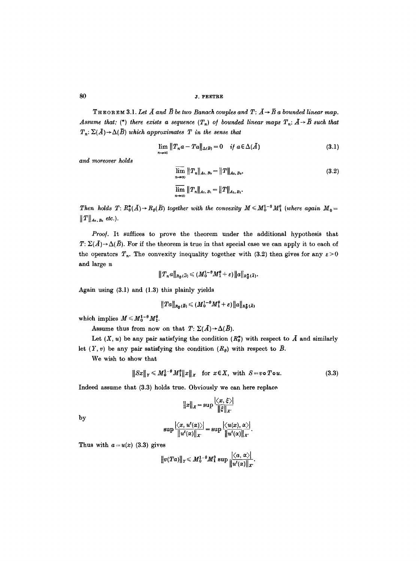80 *j.* PEETRE

THEOREM 3.1. Let  $\bar{A}$  and  $\bar{B}$  be two Banach couples and  $T: \bar{A} \rightarrow \bar{B}$  a bounded linear map. *Assume that: (\*) there exists a sequence*  $(T_n)$  *of bounded linear maps*  $T_n$ *:*  $\overline{A} \rightarrow \overline{B}$  such that  $T_n: \Sigma(\overline{A}) \to \Delta(\overline{B})$  *which approximates*  $T$  *in the sense that* 

$$
\lim_{n\to\infty}||T_n a - Ta||_{\Delta(\bar{B})} = 0 \quad \text{if } a \in \Delta(\bar{A})
$$
\n(3.1)

*and moreover holds* 

$$
\overline{\lim}_{n\to\infty} ||T_n||_{A_0, B_0} = ||T||_{A_0, B_0},
$$
\n
$$
\overline{\lim}_{n\to\infty} ||T_n||_{A_1, B_1} = ||T||_{A_1, B_1}.
$$
\n(3.2)

*Then holds T:*  $R_0^*(\overline{A}) \rightarrow R_\theta(\overline{B})$  together with the convexity  $M \leq M_0^{1-\theta} M_1^{\theta}$  (where again  $M_0=$  $||T||_{A_0,B_0}$  etc.).

Proof. It suffices to prove the theorem under the additional hypothesis that  $T: \Sigma(\bar{A}) \rightarrow \Delta(\bar{B})$ . For if the theorem is true in that special case we can apply it to each of the operators  $T_n$ . The convexity inequality together with (3.2) then gives for any  $\varepsilon > 0$ and large n

$$
||T_n a||_{R_\theta(\bar{A})} \leqslant (M_0^{1-\theta} M_1^{\theta} + \varepsilon) ||a||_{R_\theta^{\frac{1}{\theta}}(\bar{A})}.
$$

Again using (3.1) and (1.3) this plainly yields

$$
\|Ta\|_{R_{\boldsymbol{\theta}}(\bar{B})}\leqslant (M_0^{1-\theta}M_1^{\theta}+\varepsilon)\|a\|_{R_{\boldsymbol{\theta}}^{\boldsymbol{\ast}}(\bar{A})}
$$

which implies  $M \leqslant M_0^{1-\theta} M_1^{\theta}$ .

Assume thus from now on that  $T: \Sigma(\overline{A}) \rightarrow \Delta(\overline{B})$ .

Let  $(X, u)$  be any pair satisfying the condition  $(R_{\theta}^{*})$  with respect to  $\tilde{A}$  and similarly let  $(Y, v)$  be any pair satisfying the condition  $(R_{\theta})$  with respect to  $\bar{B}$ .

We wish to show that

$$
||Sx||_Y \leq M_0^{1-\theta} M_1^{\theta} ||x||_X \quad \text{for } x \in X, \text{ with } S = v \text{ o } T \text{ o } u. \tag{3.3}
$$

Indeed assume that (3.3) holds true. Obviously we can here replace

$$
||x||_x = \sup \frac{|\langle x, \xi \rangle|}{||\xi||_{X'}}
$$

by

$$
\sup \frac{|\langle x, u^t(\alpha)\rangle|}{\|u^t(\alpha)\|_{X'}} = \sup \frac{|\langle u(x), \alpha\rangle|}{\|u^t(\alpha)\|_{X'}}
$$

Thus with  $a = u(x)$  (3.3) gives

$$
||v(Ta)||_Y \leq M_0^{1-\theta}M_1^{\theta}\sup\frac{|\langle a,\alpha\rangle|}{||u^t(\alpha)||_X}.
$$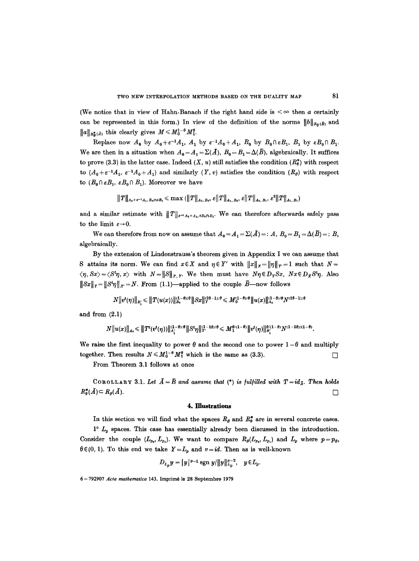(We notice that in view of Hahn-Banach if the right hand side is  $\leq \infty$  then a certainly can be represented in this form.) In view of the definition of the norms  $||b||_{Ra(\bar{B})}$  and  $||a||_{R^*_\alpha(\bar{A})}$  this clearly gives  $M \leq M_0^{1-\theta} M_1^{\theta}$ .

Replace now  $A_0$  by  $A_0 + \varepsilon^{-1}A_1$ ,  $A_1$  by  $\varepsilon^{-1}A_0 + A_1$ ,  $B_0$  by  $B_0 \cap \varepsilon B_1$ ,  $B_1$  by  $\varepsilon B_0 \cap B_1$ . We are then in a situation when  $A_0 = A_1 = \Sigma(\bar{A}), B_0 = B_1 = \Delta(\bar{B})$ , algebraically. It suffices to prove (3.3) in the latter case. Indeed  $(X, u)$  still satisfies the condition  $(R_0^*)$  with respect to  $(A_0+\varepsilon^{-1}A_1, \varepsilon^{-1}A_0+A_1)$  and similarly  $(Y, v)$  satisfies the condition  $(R_\theta)$  with respect to  $(B_0 \cap \varepsilon B_1, \varepsilon B_0 \cap B_1)$ . Moreover we have

$$
||T||_{A_0+\varepsilon^{-1}A_1,B_0\cap\varepsilon B_1}\leqslant \max (||T||_{A_0,B_0},\varepsilon||T||_{A_1,B_0},\varepsilon||T||_{A_0,B_1},\varepsilon^2||T||_{A_1,B_1})
$$

and a similar estimate with  $||T||_{\varepsilon^{-1}A_0+A_1,\varepsilon B_0\cap B_1}$ . We can therefore afterwards safely pass to the limit  $\varepsilon \rightarrow 0$ .

We can therefore from now on assume that  $A_0 = A_1 = \Sigma(\bar{A}) =: A, B_0 = B_1 = \Delta(\bar{B}) =: B$ , algebraically.

By the extension of Lindenstrauss's theorem given in Appendix I we can assume that S attains its norm. We can find  $x \in X$  and  $\eta \in Y'$  with  $||x||_X = ||\eta||_Y = 1$  such that  $N =$  $\langle \eta, Sx \rangle = \langle S^t \eta, x \rangle$  with  $N = ||S||_{X,Y}$ . We then must have  $N\eta \in D_Y S x$ ,  $Nx \in D_X S^t \eta$ . Also  $||Sx||_Y = ||S^t\eta||_X = N$ . From (1.1)—applied to the couple  $\bar{B}$ —now follows

$$
N\big\|v^t(\eta)\big\|_{B_i'}\leqslant \big\|T(u(x))\big\|_{B_0}^{(1-\theta)/\theta}\big\|Sx\big\|_Y^{2\theta-1)/\theta}\leqslant M_0^{(1-\theta)/\theta}\big\|u(x)\big\|_{A_0}^{(1-\theta)/\theta}N^{(2\theta-1)/\theta}
$$

and from (2.1)

$$
N\big\|u(x)\big\|_{A_0} \leqslant \big\|T^t(v^t(\eta))\big\|_{A_1^{'}}^{(1-\theta)/\theta}\big\|S^t\eta\big\|_{Y^{'}}^{(1-2\theta)/\theta} \leqslant M_{1}^{\theta/(1-\theta)}\big\|v^t(\eta)\big\|_{B_1^{'}}^{\theta/(1-\theta)}N^{(1-2\theta)/(1-\theta)}.
$$

We raise the first inequality to power  $\theta$  and the second one to power  $1-\theta$  and multiply together. Then results  $N \leq M_0^{1-\theta} M_1^{\theta}$  which is the same as (3.3).

From Theorem 3.1 follows at once

COROLLARY 3.1. Let  $\bar{A}=\bar{B}$  and assume that (\*) is fulfilled with  $T=id_{\bar{A}}$ . Then holds  $R_{\theta}^{*}(A) \subset R_{\theta}(A).$ 

### **4. Illustrations**

In this section we will find what the spaces  $R_{\theta}$  and  $R_{\theta}^{*}$  are in several concrete cases.

 $1^{\circ}$   $L_p$  spaces. This case has essentially already been discussed in the introduction. Consider the couple  $(L_{p_0}, L_{p_1})$ . We want to compare  $R_{\theta}(L_{p_0}, L_{p_1})$  and  $L_p$  where  $p=p_{\theta}$ ,  $\theta \in (0, 1)$ . To this end we take  $Y = L_p$  and  $v = id$ . Then as is well-known

$$
D_{L_p}y = |y|^{p-1} \operatorname{sgn} y / ||y||_{L_p}^{p-2}, \quad y \in L_p.
$$

6-792907 Acta mathematica 143. Imprimé le 28 Septembre 1979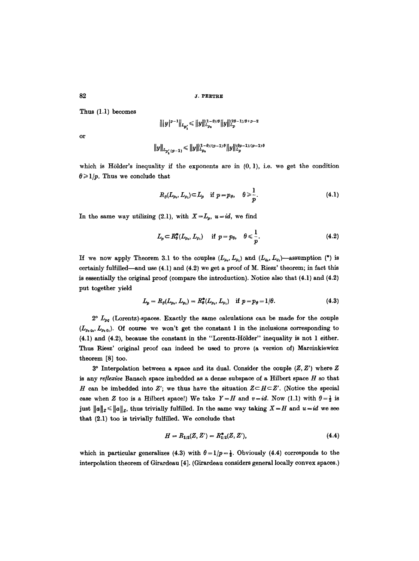Thus (1.1) becomes

$$
\big\||y|^{p-1}\big\|_{L_{p_i'}} \leqslant \big\|y\big\|_{L_{p_0}}^{(1-\theta)/\theta}\big\|y\big\|_{L_p}^{(2\theta-1)/\theta+p-2}
$$

or

$$
\big\|y\big\|_{L_{p'_1}(p-1)}\leqslant\big\|y\big\|_{L_{p_0}}^{(1-\theta)/(p-1)\theta}\big\|y\big\|_{L_p}^{(\theta p-1)/(p-1)\theta}
$$

which is Hölder's inequality if the exponents are in  $(0, 1)$ , i.e. we get the condition  $\theta \geq 1/p$ . Thus we conclude that

$$
R_{\theta}(L_{p_0}, L_{p_1}) \subset L_p \quad \text{if } p = p_{\theta}, \quad \theta \geqslant \frac{1}{p}.
$$
 (4.1)

In the same way utilizing (2.1), with  $X=L_p$ ,  $u=id$ , we find

$$
L_p \subset R_{\theta}^{*}(L_{p_0}, L_{p_1}) \quad \text{if } p = p_{\theta}, \quad \theta \leq \frac{1}{p}. \tag{4.2}
$$

If we now apply Theorem 3.1 to the couples  $(L_{p_0}, L_{p_1})$  and  $(L_{q_0}, L_{q_1})$ -assumption (\*) is certainly fulfilled—and use  $(4.1)$  and  $(4.2)$  we get a proof of M. Riesz' theorem; in fact this is essentially the original proof (compare the introduction). Notice also that (4.1) and (4.2) put together yield

$$
L_p = R_{\theta}(L_{p_0}, L_{p_1}) = R_{\theta}^*(L_{p_0}, L_{p_1}) \quad \text{if } p = p_{\theta} = 1/\theta. \tag{4.3}
$$

 $2^{\circ}$   $L_{pq}$  (Lorentz)-spaces. Exactly the same calculations can be made for the couple  $(L_{p,q_0}, L_{p_1q_1})$ . Of course we won't get the constant 1 in the inclusions corresponding to (4.1) and (4.2), because the constant in the "Lorentz-H61der" inequality is not 1 either. Thus Riesz' original proof can indeed be used to prove (a version of) Marcinkiewicz theorem [8] too.

 $3^{\circ}$  Interpolation between a space and its dual. Consider the couple  $(Z, Z')$  where Z is any *reflexive* Banach space imbedded as a dense subspace of a Hilbert space H so that H can be imbedded into Z'; we thus have the situation  $Z \subset H \subset Z'$ . (Notice the special case when Z too is a Hilbert space!) We take  $Y=H$  and  $v=id$ . Now (1.1) with  $\theta=\frac{1}{2}$  is just  $||a||_z \le ||a||_z$ , thus trivially fulfilled. In the same way taking  $X = H$  and  $u = id$  we see that (2.1) too is trivially fulfilled. We conclude that

$$
H = R_{1/2}(Z, Z') = R_{1/2}^*(Z, Z'), \qquad (4.4)
$$

which in particular generalizes (4.3) with  $\theta = 1/p = \frac{1}{2}$ . Obviously (4.4) corresponds to the interpolation theorem of Girardeau [4]. (Girardeau considers general locally convex spaces.)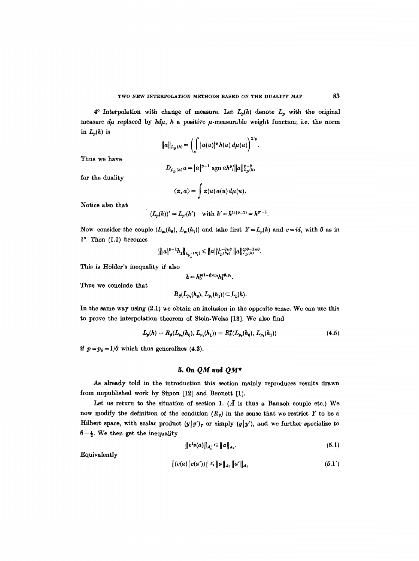$4^{\circ}$  Interpolation with change of measure. Let  $L_p(h)$  denote  $L_p$  with the original measure  $d\mu$  replaced by  $hd\mu$ , h a positive  $\mu$ -measurable weight function; i.e. the norm in  $L_p(h)$  is

$$
||a||_{L_p(h)} = \left(\int |a(u)|^p h(u) \, d\mu(u)\right)^{1/p}.
$$

Thus we have

$$
D_{L_p(h)}a = |a|^{p-1} \text{ sgn } ah^p/||a||_{L_p(h)}^{p-2}
$$

for the duality

$$
\langle \alpha, a \rangle = \int \alpha(u) a(u) d\mu(u).
$$

Notice also that

$$
(L_p(h))'=L_{p'}(h')\quad\text{with }h'=h^{1/(p-1)}=h^{p'-1}.
$$

Now consider the couple  $(L_{p_0}(h_0), L_{p_1}(h_1))$  and take first  $Y=L_p(h)$  and  $v=id$ , with  $\theta$  as in  $1^\circ$ . Then  $(1.1)$  becomes

$$
\left\| |a|^{p-1} h_1 \right\|_{L_{p'_1}(h'_1)} \leqslant \|a\|_{L_p(h_0)}^{(1-\theta)/\theta} \|a\|_{L_p(h)}^{(\eta\theta-1)/\theta}.
$$

This is Hölder's inequality if also

$$
h=h_0^{p(1-\theta)/p_0}h_1^{p\theta/p_1}.
$$

Thus we conclude that

$$
R_{\theta}(L_{p_0}(h_0), L_{p_1}(h_1)) \subset L_p(h).
$$

In the same way using (2.1) we obtain an inclusion in the opposite sense. We can use this to prove the interpolation theorem of Stein-Weiss [13]. We also find

$$
L_p(h) = R_\theta(L_{p_0}(h_0), L_{p_1}(h_1)) = R_\theta^*(L_{p_0}(h_0), L_{p_1}(h_1))
$$
\n(4.5)

*if*  $p = p_\theta = 1/\theta$  which thus generalizes (4.3).

### *5. On QM and QM\**

As already told in the introduction this section mainly reproduces results drawn from unpublished work by Simon [12] and Bennett [1].

Let us return to the situation of section 1.  $(A$  is thus a Banach couple etc.) We now modify the definition of the condition  $(R_{\theta})$  in the sense that we restrict Y to be a Hilbert space, with scalar product  $(y|y')_Y$  or simply  $(y|y')$ , and we further specialize to  $\theta = \frac{1}{2}$ . We then get the inequality

$$
||v^t v(a)||_{A'_s} \le ||a||_{A_0}.
$$
 (5.1)

Equivalently

$$
|(v(a) | v(a'))| \leq ||a||_{A_0} ||a'||_{A_1}
$$
\n(5.1')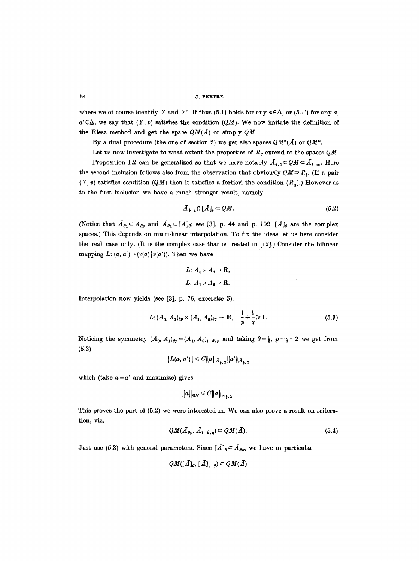where we of course identify Y and Y'. If thus (5.1) holds for any  $a \in \Delta$ , or (5.1') for any a,  $a' \in \Delta$ , we say that  $(Y, v)$  satisfies the condition  $(QM)$ . We now imitate the definition of the Riesz method and get the space  $QM(\overline{A})$  or simply  $QM$ .

By a dual procedure (the one of section 2) we get also spaces  $QM^*(\bar{A})$  or  $QM^*$ .

Let us now investigate to what extent the properties of  $R_{\theta}$  extend to the spaces  $QM$ . Proposition 1.2 can be generalized so that we have notably  $\tilde{A}_{1,1} \subset QM \subset \tilde{A}_{1,\infty}$ . Here the second inclusion follows also from the observation that obviously  $QM \supset R_{i}$ . (If a pair  $(Y, v)$  satisfies condition  $(QM)$  then it satisfies a fortiori the condition  $(R<sub>3</sub>)$ .) However as to the first inclusion we have a much stronger result, namely

$$
\bar{A}_{\frac{1}{2},2} \cap [\bar{A}]_{\frac{1}{2}} \subset QM. \tag{5.2}
$$

(Notice that  $A_{\theta_1} \subset A_{\theta_p}$  and  $A_{\theta_1} \subset [A]_{\theta}$ ; see [3], p. 44 and p. 102.  $[A]_{\theta}$  are the complex spaces.) This depends on multi-linear interpolation. To fix the ideas let us here consider the real case only. (It is the complex case that is treated in [12].) Consider the bilinear mapping  $L: (a, a') \rightarrow (v(a))v(a')$ . Then we have

$$
L: A_0 \times A_1 \to \mathbf{R},
$$
  

$$
L: A_1 \times A_0 \to \mathbf{R}.
$$

Interpolation now yields (see [3], p. 76, excercise 5).

$$
L: (A_0, A_1)_{\theta p} \times (A_1, A_0)_{\theta q} \to \mathbf{R}, \quad \frac{1}{p} + \frac{1}{q} \geq 1. \tag{5.3}
$$

Noticing the symmetry  $(A_0, A_1)_{\theta p} = (A_1, A_0)_{1-\theta, p}$  and taking  $\theta = \frac{1}{2}$ ,  $p=q=2$  we get from **(5.3)** 

$$
|L(a, a')| \leq C ||a||_{\bar{A}_{\frac{1}{2},2}} ||a'||_{\bar{A}_{\frac{1}{2},2}}
$$

which (take  $a = a'$  and maximize) gives

$$
||a||_{\mathcal{Q}M} \leq C ||a||_{\bar{A}_{\frac{1}{2},2}}.
$$

This proves the part of (5.2) we were interested in. We can also prove a result on reiteration, viz.

$$
QM(\bar{A}_{\theta p}, \bar{A}_{1-\theta, q}) \subset QM(\bar{A}). \tag{5.4}
$$

Just use (5.3) with general parameters. Since  $[A]_{\theta} \subset A_{\theta\infty}$  we have m particular

$$
QM([A]_{\theta}, [A]_{1-\theta}) \subset QM(A)
$$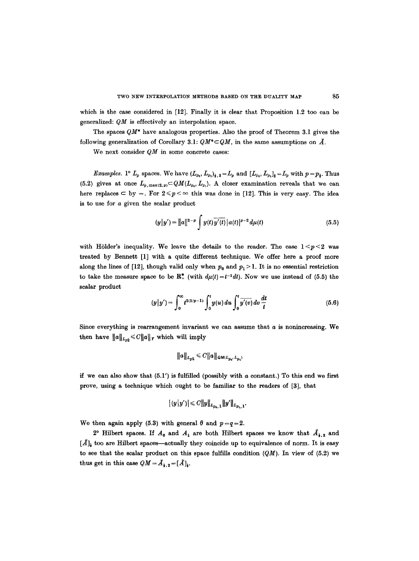which is the case considered in [12]. Finally it is clear that Proposition 1.2 too can be generalized: *QM* is effectively an interpolation space.

The spaces *QM\** have analogous properties. Also the proof of Theorem 3.1 gives the following generalization of Corollary 3.1:  $QM^* \subset QM$ , in the same assumptions on  $\tilde{A}$ .

We next consider *QM* in some concrete cases:

*Examples.* 1°  $L_p$  spaces. We have  $(L_{p_0}, L_{p_1})_{1 \leq i \leq L_p} = L_p$  and  $[L_{p_0}, L_{p_1}]_{1 \leq i \leq L_p} = L_p$  with  $p = p_1$ . Thus (5.2) gives at once  $L_{p,\max(2,p)} \subset QM(L_{p_0}, L_{p_1}).$  A closer examination reveals that we can here replaces  $\subset$  by =. For  $2 \le p \le \infty$  this was done in [12]. This is very easy. The idea is to use for a given the scalar product

$$
(y|y') = ||a||^{2-p} \int y(t) \overline{y'(t)} |a(t)|^{p-2} d\mu(t)
$$
 (5.5)

with Hölder's inequality. We leave the details to the reader. The case  $1 \le p \le 2$  was treated by Bennett [1] with a quite different technique. We offer here a proof more along the lines of [12], though valid only when  $p_0$  and  $p_1 > 1$ . It is no essential restriction to take the measure space to be  $\mathbb{R}^*$ , (with  $d\mu(t)=t^{-1}dt$ ). Now we use instead of (5.5) the scalar product

$$
(y|y') = \int_0^\infty t^{2(1/p-1)} \int_0^t y(u) \, du \int_0^t \overline{y'(v)} \, dv \, \frac{dt}{t} \tag{5.6}
$$

Since everything is rearrangement invariant we can assume that  $a$  is nonincreasing. We then have  $||a||_{L_{n2}} \leq C||a||_Y$  which will imply

$$
||a||_{L_{p2}} \leq C||a||_{\mathcal{Q}_{\mathcal{M}(L_{p_0}, L_{p_1})}}
$$

if we can also show that  $(5.1')$  is fulfilled (possibly with a constant.) To this end we first prove, using a technique which ought to be familiar to the readers of [3], that

$$
|(y|y')| \leq C ||y||_{L_{p_0,1}} ||y'||_{L_{p_1,1}}.
$$

We then again apply (5.3) with general  $\theta$  and  $p=q=2$ .

2° Hilbert spaces. If  $A_0$  and  $A_1$  are both Hilbert spaces we know that  $A_{1,2}$  and  $[A]_t$  too are Hilbert spaces—actually they coincide up to equivalence of norm. It is easy to see that the scalar product on this space fulfills condition *(QM).* In view of (5.2) we thus get in this case  $QM = A_{1,2} = [A]_+.$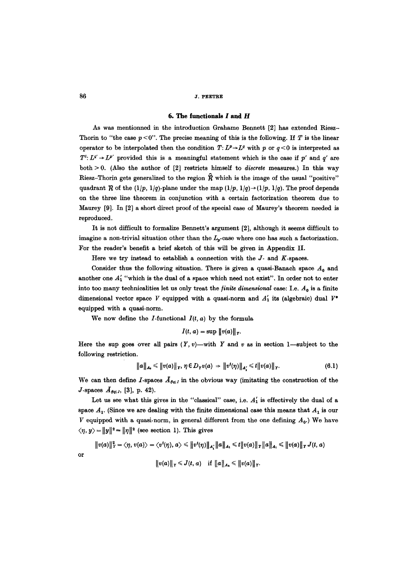### 6. The functionals  $I$  and  $H$

As was mentionned in the introduction Grahame Bennett [2] has extended Riesz-Thorin to "the case  $p < 0$ ". The precise meaning of this is the following. If T is the linear operator to be interpolated then the condition  $T: L^p \rightarrow L^q$  with p or  $q < 0$  is interpreted as  $T^t: L^q \rightarrow L^{p'}$  provided this is a meaningful statement which is the case if p' and q' are both > 0. (Also the author of [2] restricts himself to *discrete* measures.) In this way Riesz-Thorin gets generalized to the region  $\hat{R}$  which is the image of the usual "positive" quadrant  $R$  of the (1/p, 1/q)-plane under the map (1/p, 1/q) $\rightarrow$ (1/p, 1/q). The proof depends on the three line theorem in conjunction with a certain factorization theorem due to Maurey [9]. In [2] a short direct proof of the special case of Maurey's theorem needed is reproduced.

It is not difficult to formalize Bennett's argument [2], although it seems difficult to imagine a non-trivial situation other than the  $L_p$ -case where one has such a factorization. For the reader's benefit a brief sketch of this will be given in Appendix II.

Here we try instead to establish a connection with the  $J$ - and  $K$ -spaces.

Consider thus the following situation. There is given a quasi-Banach space  $A_0$  and another one  $A'_1$  "which is the dual of a space which need not exist". In order not to enter into too many technicalities let us only treat the *finite dimensional* case: I.e.  $A_0$  is a finite dimensional vector space V equipped with a quasi-norm and  $A'_{1}$  its (algebraic) dual  $V^*$ equipped with a quasi-norm.

We now define the *I*-functional  $I(t, a)$  by the formula

$$
I(t, a) = \sup ||v(a)||_Y.
$$

Here the sup goes over all pairs  $(Y, v)$ —with Y and v as in section 1--subject to the following restriction.

$$
\|a\|_{A_0} \leq \|v(a)\|_Y, \ \eta \in D_Y v(a) \ \Rightarrow \|v^t(\eta)\|_{A'_1} \leq t \|v(a)\|_Y. \tag{6.1}
$$

We can then define I-spaces  $\bar{A}_{\theta q:I}$  in the obvious way (imitating the construction of the *J*-spaces  $A_{\theta q;J}$ , [3], p. 42).

Let us see what this gives in the "classical" case, i.e.  $A'_{1}$  is effectively the dual of a space  $A_1$ . (Since we are dealing with the finite dimensional case this means that  $A_1$  is our V equipped with a quasi-norm, in general different from the one defining  $A_0$ .) We have  $\langle \eta, y \rangle = ||y||^2 = ||\eta||^2$  (see section 1). This gives

$$
||v(a)||_{Y}^{2} = \langle \eta, v(a) \rangle = \langle v^{t}(\eta), a \rangle \leq ||v^{t}(\eta)||_{A'_{1}} ||a||_{A_{1}} \leq t ||v(a)||_{Y} ||a||_{A_{1}} \leq ||v(a)||_{Y} J(t, a)
$$
  

$$
||v(a)||_{Y} \leq J(t, a) \quad \text{if } ||a||_{A_{0}} \leq ||v(a)||_{Y}.
$$

or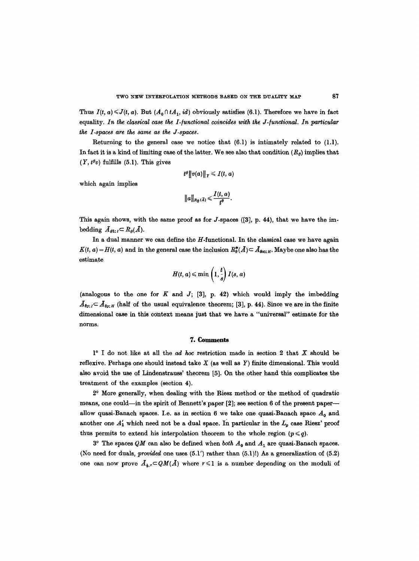Thus  $I(t, a) \leq J(t, a)$ . But  $(A_0 \cap tA_1, id)$  obviously satisfies (6.1). Therefore we have in fact equality. *In the classical case the I-functional coincides with the J-functional. In particular the I-spaces are the same as the J-spaces.* 

Returning to the general case we notice that  $(6.1)$  is intimately related to  $(1.1)$ . In fact it is a kind of limiting case of the latter. We see also that condition *(Re)* implies that  $(Y, t^{\theta}v)$  fulfills (5.1). This gives

$$
t^{\theta}\|v(a)\|_Y\leqslant I(t,a)
$$

which again implies

$$
||a||_{R_{\theta}(A)} \leqslant \frac{I(t,a)}{t^{\theta}}.
$$

This again shows, with the same proof as for  $J$ -spaces ([3], p. 44), that we have the imbedding  $\bar{A}_{\theta 1:I} \subset R_{\theta}(A)$ .

In a dual manner we can define the  $H$ -functional. In the classical case we have again  $K(t, a) = H(t, a)$  and in the general case the inclusion  $R^*_\theta(A) \subset \mathcal{A}_{\theta \in \mathbb{R}^I}$ . Maybe one also has the estimate

$$
H(t,a) \leqslant \min\left(1,\frac{t}{s}\right)I(s,a)
$$

(analogous to the one for  $K$  and  $J$ ; [3], p. 42) which would imply the imbedding  $A_{\theta p;I} \subset A_{\theta p;I}$  (half of the usual equivalence theorem; [3], p. 44). Since we are in the finite dimensional case in this context means just that we have a "universal" estimate for the norms.

### **7. Comments**

 $1^{\circ}$  I do not like at all the *ad hoc* restriction made in section 2 that X should be reflexive. Perhaps one should instead take  $X$  (as well as  $Y$ ) finite dimensional. This would also avoid the use of Lindenstrauss' theorem [5]. On the other hand this complicates the treatment of the examples (section 4).

2 ~ More generally, when dealing with the Riesz method or the method of quadratic means, one could—in the spirit of Bennett's paper [2]; see section 6 of the present paper allow quasi-Banach spaces. I.e. as in section 6 we take one quasi-Banach space  $A_0$  and another one  $A'_{1}$  which need not be a dual space. In particular in the  $L_{p}$  case Riesz' proof thus permits to extend his interpolation theorem to the whole region  $(p \leq q)$ .

 $3^{\circ}$  The spaces QM can also be defined when *both*  $A_0$  and  $A_1$  are quasi-Banach spaces. (No need for duals, *provided* one uses (5.1') rather than (5.1)I) As a generalization of (5.2) one can now prove  $A_{\mathbf{i},\mathbf{r}} \subset QM(A)$  where  $\mathbf{r} \leq 1$  is a number depending on the moduli of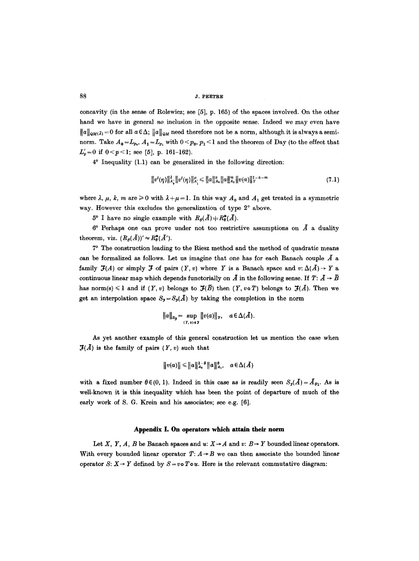concavity (in the sense of Rolewicz; see [5], p. 165) of the spaces involved. On the other hand we have in general *no* inclusion in the opposite sense. Indeed we may even have  $||a||_{\alpha M(\bar{A})}=0$  for all  $a\in\Delta$ ;  $||a||_{\alpha M}$  need therefore not be a norm, although it is always a seminorm. Take  $A_0 = L_{p_0}$ ,  $A_1 = L_{p_1}$  with  $0 \le p_0$ ,  $p_1 \le 1$  and the theorem of Day (to the effect that  $L'_p=0$  if  $0 < p < 1$ ; see [5], p. 161-162).

 $4^{\circ}$  Inequality (1.1) can be generalized in the following direction:

$$
||v^{t}(\eta)||_{A'_{\lambda}}^{2}||v^{t}(\eta)||_{A'_{\lambda}}^{\mu} \leq ||a||_{A_{0}}^{k}||a||_{A_{1}}^{m}||v(a)||_{Y}^{1-k-m} \qquad (7.1)
$$

where  $\lambda$ ,  $\mu$ ,  $k$ ,  $m$  are  $\geq 0$  with  $\lambda + \mu = 1$ . In this way  $A_0$  and  $A_1$  get treated in a symmetric way. However this excludes the generalization of type  $2^{\circ}$  above.

 $5^{\circ}$  I have no single example with  $R_{\theta}(\bar{A}) \neq R_{\theta}^*(\bar{A}).$ 

 $6^{\circ}$  Perhaps one can prove under not too restrictive assumptions on  $\tilde{A}$  a duality theorem, viz.  $(R_{\theta}(\bar{A}))' \approx R_{\theta}^*(\bar{A}')$ .

7 ~ The construction leading to the Riesz method and the method of quadratic means can be formalized as follows. Let us imagine that one has for each Banach couple  $\overline{A}$  a family  $\mathcal{J}(A)$  or simply  $\mathcal J$  of pairs  $(Y, v)$  where Y is a Banach space and  $v: \Delta(\overline{A}) \to Y$  a continuous linear map which depends functorially on  $\vec{A}$  in the following sense. If  $T: \vec{A} \to \vec{B}$ has norm(s)  $\leq 1$  and if  $(Y, v)$  belongs to  $\mathcal{F}(\overline{B})$  then  $(Y, v \circ T)$  belongs to  $\mathcal{F}(\overline{A})$ . Then we get an interpolation space  $S_3 = S_3(\overline{A})$  by taking the completion in the norm

$$
||a||_{S_{\mathcal{F}}} = \sup_{(Y,\,v)\in\mathcal{F}} ||v(a)||_{Y}, \quad a\in\Delta(\bar{A}).
$$

As yet another example of this general construction let us mention the case when  $\mathfrak{F}(\overline{A})$  is the family of pairs  $(Y, v)$  such that

$$
||v(a)|| \le ||a||_{A_0}^{1-\theta} ||a||_{A_1}^{\theta}, \quad a \in \Delta(A)
$$

with a fixed number  $\theta \in (0, 1)$ . Indeed in this case as is readily seen  $S_{\mathfrak{p}}(A) = A_{\theta_1}$ . As is well-known it is this inequality which has been the point of departure of much of the early work of S. G. Krein and his associates; see e.g. [6].

### **Appendix I. On operators which attain their norm**

Let X, Y, A, B be Banach spaces and u:  $X \rightarrow A$  and v:  $B \rightarrow Y$  bounded linear operators. With every bounded linear operator  $T: A \rightarrow B$  we can then associate the bounded linear operator S:  $X \rightarrow Y$  defined by  $S = v \circ T \circ u$ . Here is the relevant commutative diagram: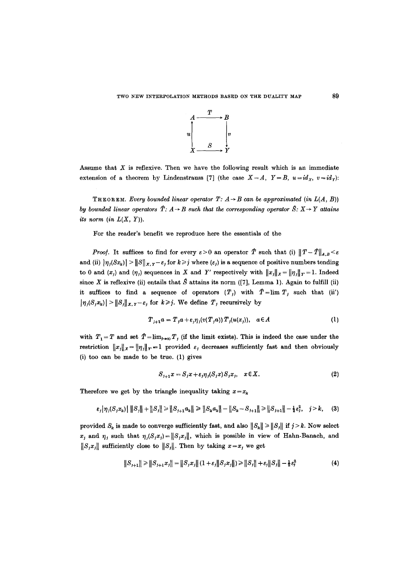

Assume that  $X$  is reflexive. Then we have the following result which is an immediate extension of a theorem by Lindenstrauss [7] (the case  $X = A$ ,  $Y = B$ ,  $u = id_X$ ,  $v = id_Y$ ):

THEOREM. *Every bounded linear operator T:*  $A \rightarrow B$  *can be approximated (in L(A, B)) by bounded linear operators*  $\hat{T}: A \rightarrow B$  *such that the corresponding operator*  $\hat{S}: X \rightarrow Y$  *attains its norm (in*  $L(X, Y)$ *).* 

For the reader's benefit we reproduce here the essentials of the

*Proof.* It suffices to find for every  $\varepsilon > 0$  an operator  $\hat{T}$  such that (i)  $||T-\hat{T}||_{A,B} < \varepsilon$ and (ii)  $|\eta_j(Sx_k)| > ||S||_{X,Y} - \varepsilon_j$  for  $k \geq j$  where  $(\varepsilon_j)$  is a sequence of positive numbers tending to 0 and  $(x_i)$  and  $(\eta_i)$  sequences in X and Y' respectively with  $||x_j||_X = ||\eta_j||_Y = 1$ . Indeed since X is reflexive (ii) entails that  $\hat{S}$  attains its norm ([7], Lemma 1). Again to fulfill (ii) it suffices to find a sequence of operators  $(T_j)$  with  $\hat{T} = \lim T_j$  such that (ii')  $|\eta_j(S_jx_k)| > ||S_j||_{X,Y} - \varepsilon_j$  for  $k \ge j$ . We define  $T_j$  recursively by

$$
T_{j+1}a = T_j a + \varepsilon_j \eta_j(v(T_j a)) T_j(u(x_j)), \quad a \in A
$$
 (1)

with  $T_1 = T$  and set  $\hat{T} = \lim_{j \to \infty} T_j$  (if the limit exists). This is indeed the case under the restriction  $||x_j||_X = ||\eta_j||_Y = 1$  provided  $\varepsilon_j$  decreases sufficiently fast and then obviously (i) too can be made to be true. (1) gives

$$
S_{j+1}x = S_jx + \varepsilon_j \eta_j(S_jx)S_jx_j, \quad x \in X. \tag{2}
$$

Therefore we get by the triangle inequality taking  $x = x_k$ 

$$
\varepsilon_j |\eta_j(S_j x_k)| \|S_j\| + \|S_j\| \ge \|S_{j+1} a_k\| \ge \|S_k a_k\| - \|S_k - S_{j+1}\| \ge \|S_{j+1}\| - \frac{1}{2} \varepsilon_j^2, \quad j > k, \quad (3)
$$

provided  $S_k$  is made to converge sufficiently fast, and also  $||S_k|| \ge ||S_j||$  if  $j > k$ . Now select x, and  $\eta_j$  such that  $\eta_j(S_jx_j)=||S_jx_j||$ , which is possible in view of Hahn-Banach, and  $||S_jx_j||$  sufficiently close to  $||S_j||$ . Then by taking  $x=x_j$  we get

$$
||S_{j+1}|| \ge ||S_{j+1}x_j|| = ||S_jx_j|| (1+\varepsilon_j||S_jx_j||) \ge ||S_j|| + \varepsilon_j||S_j|| - \frac{1}{2}\varepsilon_j^2
$$
 (4)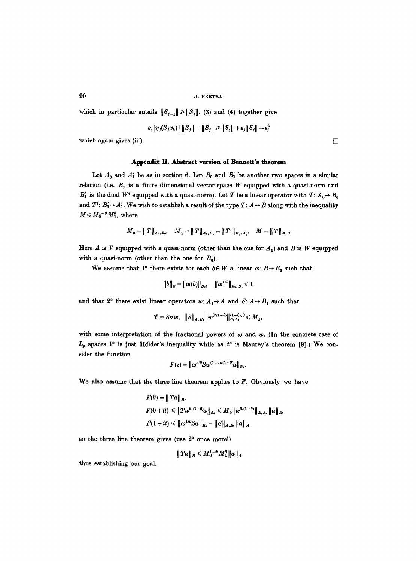which in particular entails  $||S_{j+1}|| \ge ||S_j||$ . (3) and (4) together give

$$
\varepsilon_j \big| \eta_j(S_j x_k) \big| \big\| S_j \big\| + \big\| S_j \big\| \ge \| S_j \big\| + \varepsilon_j \big\| S_j \big\| - \varepsilon_j^2
$$

which again gives (ii').  $\Box$ 

### Appendix II. Abstract version of Bennett's theorem

Let  $A_0$  and  $A'_1$  be as in section 6. Let  $B_0$  and  $B'_1$  be another two spaces in a similar relation (i.e.  $B_1$  is a finite dimensional vector space W equipped with a quasi-norm and  $B'_{1}$  is the dual  $W^*$  equipped with a quasi-norm). Let T be a linear operator with  $T: A_{0} \rightarrow B_{0}$ and  $T^t: B'_1 \rightarrow A'_1$ . We wish to establish a result of the type  $T: A \rightarrow B$  along with the inequality  $M \leqslant M_0^{1-\theta} M_1^{\theta}$ , where

$$
M_0=\|T\|_{A_0,B_0},\quad M_1=\|T\|_{A_1,B_1}=\|T^t\|_{B_1',A_1'},\quad M=\|T\|_{A,B}.
$$

Here A is V equipped with a quasi-norm (other than the one for  $A_0$ ) and B is W equipped with a quasi-norm (other than the one for  $B_0$ ).

We assume that  $1^{\circ}$  there exists for each  $b \in W$  a linear  $\omega: B \rightarrow B_0$  such that

$$
||b||_B = ||\omega(b)||_{B_0}, \quad ||\omega^{1/\theta}||_{B_0, B_1} \leq 1
$$

and that  $2^{\circ}$  there exist linear operators  $w: A_1 \rightarrow A$  and  $S: A \rightarrow B_1$  such that

$$
T = S \circ w, \quad ||S||_{A, B_1} ||w^{\theta/(1-\theta)}||_{A, A_0}^{(1-\theta)/\theta} \leq M_1,
$$

with some interpretation of the fractional powers of  $\omega$  and  $w$ . (In the concrete case of  $L_p$  spaces 1° is just Hölder's inequality while as 2° is Maurey's theorem [9].) We consider the function

$$
F(z) = \left\| \omega^{z/\theta} S w^{(1-z)/(1-\theta)} a \right\|_{B_0}.
$$

We also assume that the three line theorem applies to  $F$ . Obviously we have

$$
F(\theta) = ||T a||_B,
$$
  
\n
$$
F(0 + it) \le ||T w^{\theta/(1-\theta)} a||_B \le M_0 ||w^{\theta/(1-\theta)}||_{A, A_0} ||a||_A,
$$
  
\n
$$
F(1 + it) \le ||\omega^{1/\theta} Sa||_{B_0} = ||S||_{A, B_1} ||a||_A
$$

so the three line theorem gives (use  $2<sup>o</sup>$  once more!)

$$
|| \, Ta ||_B \leqslant M_0^{1-\theta} M_1^{\theta} ||a||_A
$$

thus establishing our goal.